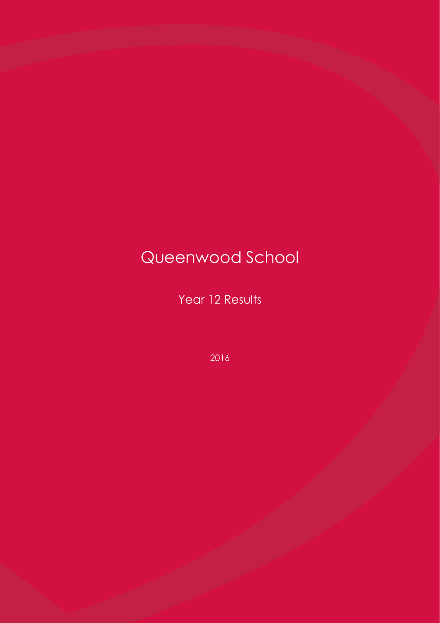# Queenwood School

Year 12 Results

2016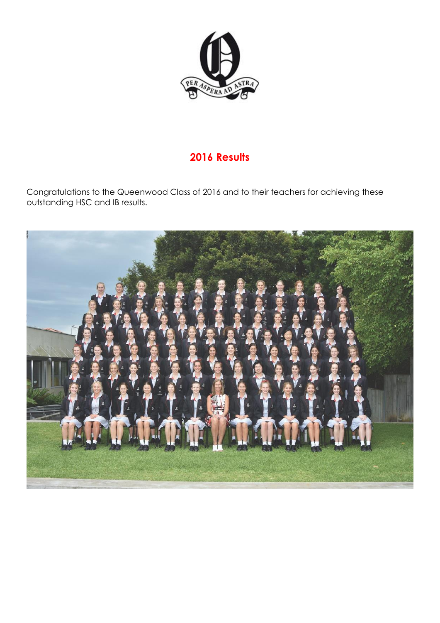

# **2016 Results**

Congratulations to the Queenwood Class of 2016 and to their teachers for achieving these outstanding HSC and IB results.

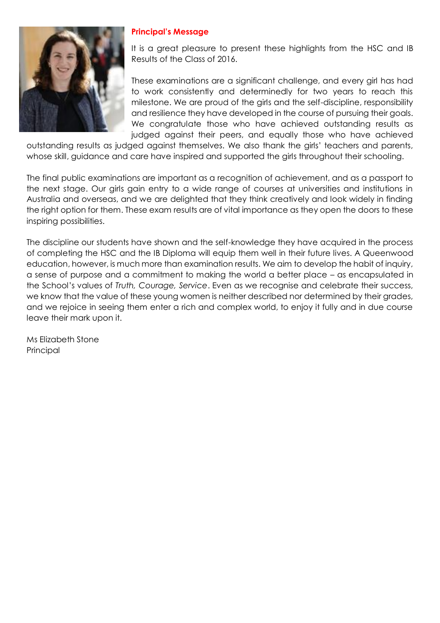

#### **Principal's Message**

It is a great pleasure to present these highlights from the HSC and IB Results of the Class of 2016.

These examinations are a significant challenge, and every girl has had to work consistently and determinedly for two years to reach this milestone. We are proud of the girls and the self-discipline, responsibility and resilience they have developed in the course of pursuing their goals. We congratulate those who have achieved outstanding results as judged against their peers, and equally those who have achieved

outstanding results as judged against themselves. We also thank the girls' teachers and parents, whose skill, guidance and care have inspired and supported the girls throughout their schooling.

The final public examinations are important as a recognition of achievement, and as a passport to the next stage. Our girls gain entry to a wide range of courses at universities and institutions in Australia and overseas, and we are delighted that they think creatively and look widely in finding the right option for them. These exam results are of vital importance as they open the doors to these inspiring possibilities.

The discipline our students have shown and the self-knowledge they have acquired in the process of completing the HSC and the IB Diploma will equip them well in their future lives. A Queenwood education, however, is much more than examination results. We aim to develop the habit of inquiry, a sense of purpose and a commitment to making the world a better place – as encapsulated in the School's values of *Truth, Courage, Service*. Even as we recognise and celebrate their success, we know that the value of these young women is neither described nor determined by their grades, and we rejoice in seeing them enter a rich and complex world, to enjoy it fully and in due course leave their mark upon it.

Ms Elizabeth Stone Principal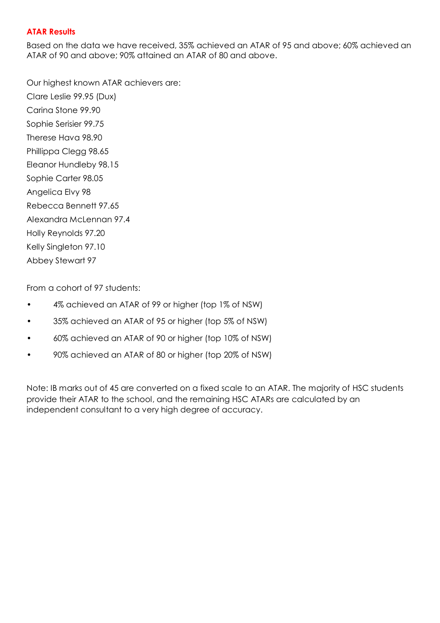#### **ATAR Results**

Based on the data we have received, 35% achieved an ATAR of 95 and above; 60% achieved an ATAR of 90 and above; 90% attained an ATAR of 80 and above.

Our highest known ATAR achievers are: Clare Leslie 99.95 (Dux) Carina Stone 99.90 Sophie Serisier 99.75 Therese Hava 98.90 Phillippa Clegg 98.65 Eleanor Hundleby 98.15 Sophie Carter 98.05 Angelica Elvy 98 Rebecca Bennett 97.65 Alexandra McLennan 97.4 Holly Reynolds 97.20 Kelly Singleton 97.10 Abbey Stewart 97

From a cohort of 97 students:

- 4% achieved an ATAR of 99 or higher (top 1% of NSW)
- 35% achieved an ATAR of 95 or higher (top 5% of NSW)
- 60% achieved an ATAR of 90 or higher (top 10% of NSW)
- 90% achieved an ATAR of 80 or higher (top 20% of NSW)

Note: IB marks out of 45 are converted on a fixed scale to an ATAR. The majority of HSC students provide their ATAR to the school, and the remaining HSC ATARs are calculated by an independent consultant to a very high degree of accuracy.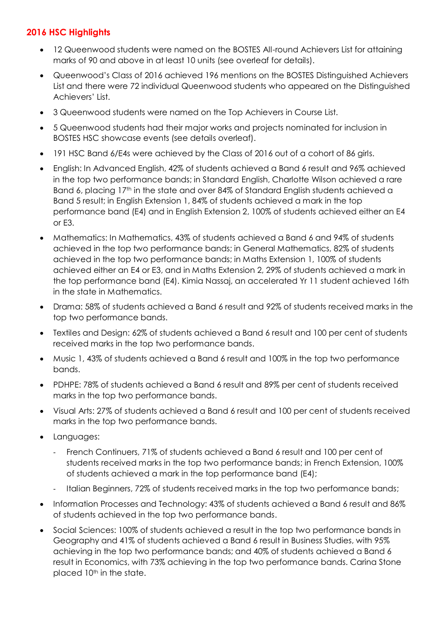# **2016 HSC Highlights**

- 12 Queenwood students were named on the BOSTES All-round Achievers List for attaining marks of 90 and above in at least 10 units (see overleaf for details).
- Queenwood's Class of 2016 achieved 196 mentions on the BOSTES Distinguished Achievers List and there were 72 individual Queenwood students who appeared on the Distinguished Achievers' List.
- 3 Queenwood students were named on the Top Achievers in Course List.
- 5 Queenwood students had their major works and projects nominated for inclusion in BOSTES HSC showcase events (see details overleaf).
- 191 HSC Band 6/E4s were achieved by the Class of 2016 out of a cohort of 86 girls.
- English: In Advanced English, 42% of students achieved a Band 6 result and 96% achieved in the top two performance bands; in Standard English, Charlotte Wilson achieved a rare Band 6, placing 17<sup>th</sup> in the state and over 84% of Standard English students achieved a Band 5 result; in English Extension 1, 84% of students achieved a mark in the top performance band (E4) and in English Extension 2, 100% of students achieved either an E4 or E3.
- Mathematics: In Mathematics, 43% of students achieved a Band 6 and 94% of students achieved in the top two performance bands; in General Mathematics, 82% of students achieved in the top two performance bands; in Maths Extension 1, 100% of students achieved either an E4 or E3, and in Maths Extension 2, 29% of students achieved a mark in the top performance band (E4). Kimia Nassaj, an accelerated Yr 11 student achieved 16th in the state in Mathematics.
- Drama: 58% of students achieved a Band 6 result and 92% of students received marks in the top two performance bands.
- Textiles and Design: 62% of students achieved a Band 6 result and 100 per cent of students received marks in the top two performance bands.
- Music 1, 43% of students achieved a Band 6 result and 100% in the top two performance bands.
- PDHPE: 78% of students achieved a Band 6 result and 89% per cent of students received marks in the top two performance bands.
- Visual Arts: 27% of students achieved a Band 6 result and 100 per cent of students received marks in the top two performance bands.
- Languages:
	- French Continuers, 71% of students achieved a Band 6 result and 100 per cent of students received marks in the top two performance bands; in French Extension, 100% of students achieved a mark in the top performance band (E4);
	- Italian Beginners, 72% of students received marks in the top two performance bands;
- Information Processes and Technology: 43% of students achieved a Band 6 result and 86% of students achieved in the top two performance bands.
- Social Sciences: 100% of students achieved a result in the top two performance bands in Geography and 41% of students achieved a Band 6 result in Business Studies, with 95% achieving in the top two performance bands; and 40% of students achieved a Band 6 result in Economics, with 73% achieving in the top two performance bands. Carina Stone placed 10<sup>th</sup> in the state.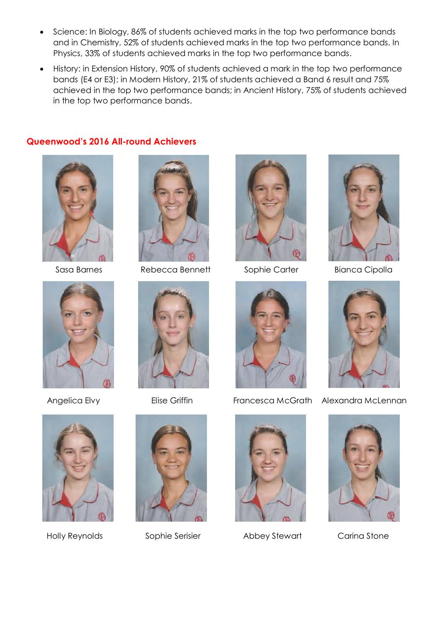- Science: In Biology, 86% of students achieved marks in the top two performance bands and in Chemistry, 52% of students achieved marks in the top two performance bands. In Physics, 33% of students achieved marks in the top two performance bands.
- History: in Extension History, 90% of students achieved a mark in the top two performance bands (E4 or E3); in Modern History, 21% of students achieved a Band 6 result and 75% achieved in the top two performance bands; in Ancient History, 75% of students achieved in the top two performance bands.

#### **Queenwood's 2016 All-round Achievers**







Sasa Barnes Rebecca Bennett Sophie Carter Bianca Cipolla





Holly Reynolds Sophie Serisier Abbey Stewart Carina Stone













Angelica Elvy **Elise Griffin** Francesca McGrath Alexandra McLennan

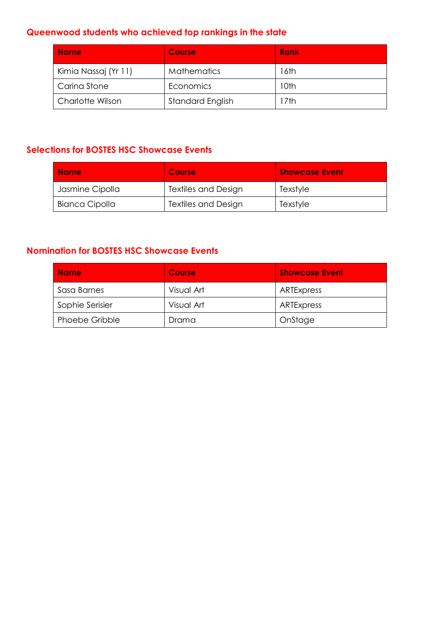# **Queenwood students who achieved top rankings in the state**

| <b>Name</b>             | <b>Course</b>           | <b>Rank</b> |
|-------------------------|-------------------------|-------------|
| Kimia Nassaj (Yr 11)    | <b>Mathematics</b>      | 16th        |
| Carina Stone            | Economics               | 10th        |
| <b>Charlotte Wilson</b> | <b>Standard English</b> | l 7th       |

# **Selections for BOSTES HSC Showcase Events**

| <b>Name</b>     | <b>Course</b>              | <b>Showcase Event</b> |
|-----------------|----------------------------|-----------------------|
| Jasmine Cipolla | <b>Textiles and Design</b> | Texstyle              |
| Bianca Cipolla  | <b>Textiles and Design</b> | Texstyle              |

## **Nomination for BOSTES HSC Showcase Events**

| <b>Name</b>           | <b>Course</b> | <b>Showcase Event</b> |
|-----------------------|---------------|-----------------------|
| Sasa Barnes           | Visual Art    | ARTExpress            |
| Sophie Serisier       | Visual Art    | ARTExpress            |
| <b>Phoebe Gribble</b> | Drama         | OnStage               |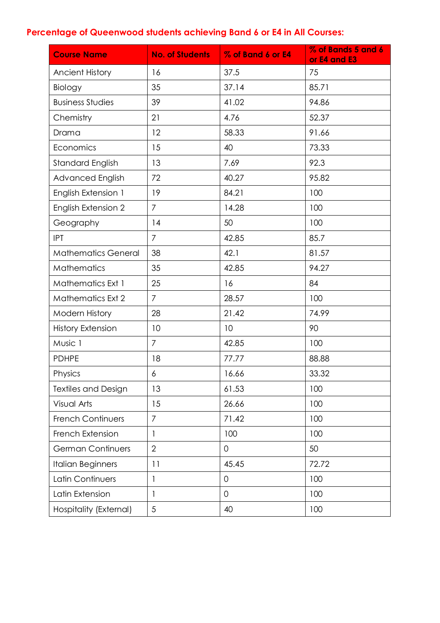# **Percentage of Queenwood students achieving Band 6 or E4 in All Courses:**

| <b>Course Name</b>         | <b>No. of Students</b> | % of Band 6 or E4 | % of Bands 5 and 6<br>or E4 and E3 |
|----------------------------|------------------------|-------------------|------------------------------------|
| <b>Ancient History</b>     | 16                     | 37.5              | 75                                 |
| Biology                    | 35                     | 37.14             | 85.71                              |
| <b>Business Studies</b>    | 39                     | 41.02             | 94.86                              |
| Chemistry                  | 21                     | 4.76              | 52.37                              |
| Drama                      | 12                     | 58.33             | 91.66                              |
| Economics                  | 15                     | 40                | 73.33                              |
| <b>Standard English</b>    | 13                     | 7.69              | 92.3                               |
| Advanced English           | 72                     | 40.27             | 95.82                              |
| English Extension 1        | 19                     | 84.21             | 100                                |
| <b>English Extension 2</b> | $\overline{7}$         | 14.28             | 100                                |
| Geography                  | 14                     | 50                | 100                                |
| <b>IPT</b>                 | $\overline{7}$         | 42.85             | 85.7                               |
| <b>Mathematics General</b> | 38                     | 42.1              | 81.57                              |
| Mathematics                | 35                     | 42.85             | 94.27                              |
| Mathematics Ext 1          | 25                     | 16                | 84                                 |
| <b>Mathematics Ext 2</b>   | $\overline{7}$         | 28.57             | 100                                |
| Modern History             | 28                     | 21.42             | 74.99                              |
| <b>History Extension</b>   | 10                     | 10                | 90                                 |
| Music 1                    | $\overline{7}$         | 42.85             | 100                                |
| <b>PDHPE</b>               | 18                     | 77.77             | 88.88                              |
| Physics                    | 6                      | 16.66             | 33.32                              |
| <b>Textiles and Design</b> | 13                     | 61.53             | 100                                |
| Visual Arts                | 15                     | 26.66             | 100                                |
| <b>French Continuers</b>   | $\overline{7}$         | 71.42             | 100                                |
| French Extension           | 1                      | 100               | 100                                |
| <b>German Continuers</b>   | $\overline{2}$         | 0                 | 50                                 |
| <b>Italian Beginners</b>   | 11                     | 45.45             | 72.72                              |
| Latin Continuers           | $\mathbf{1}$           | $\overline{0}$    | 100                                |
| Latin Extension            | 1                      | 0                 | 100                                |
| Hospitality (External)     | 5                      | 40                | 100                                |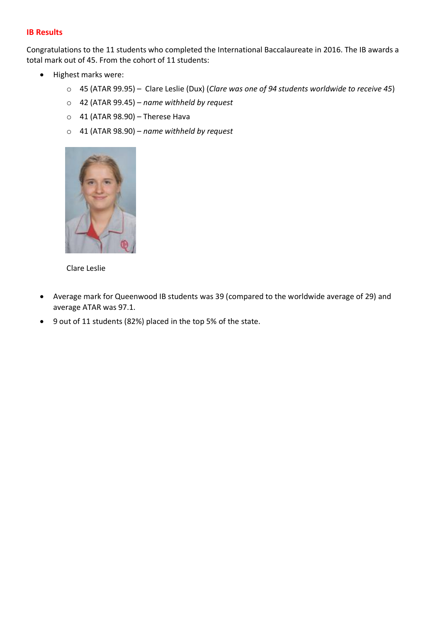#### **IB Results**

Congratulations to the 11 students who completed the International Baccalaureate in 2016. The IB awards a total mark out of 45. From the cohort of 11 students:

- Highest marks were:
	- o 45 (ATAR 99.95) Clare Leslie (Dux) (*Clare was one of 94 students worldwide to receive 45*)
	- o 42 (ATAR 99.45) *name withheld by request*
	- $\circ$  41 (ATAR 98.90) Therese Hava
	- o 41 (ATAR 98.90) *name withheld by request*



Clare Leslie

- Average mark for Queenwood IB students was 39 (compared to the worldwide average of 29) and average ATAR was 97.1.
- 9 out of 11 students (82%) placed in the top 5% of the state.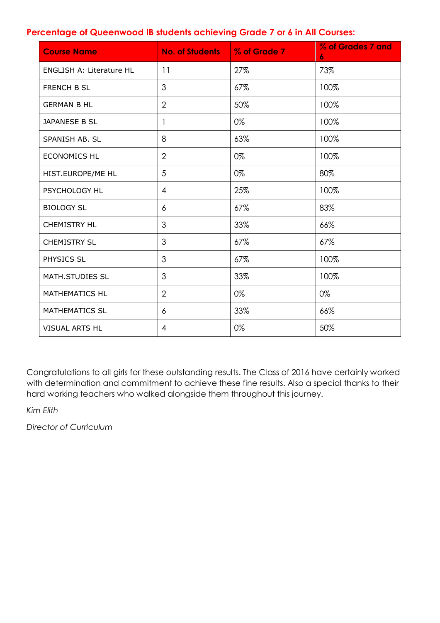### **Percentage of Queenwood IB students achieving Grade 7 or 6 in All Courses:**

| <b>Course Name</b>              | <b>No. of Students</b> | % of Grade 7 | % of Grades 7 and<br>6 |
|---------------------------------|------------------------|--------------|------------------------|
| <b>ENGLISH A: Literature HL</b> | 11                     | 27%          | 73%                    |
| <b>FRENCH B SL</b>              | 3                      | 67%          | 100%                   |
| <b>GERMAN B HL</b>              | $\overline{2}$         | 50%          | 100%                   |
| JAPANESE B SL                   | 1                      | 0%           | 100%                   |
| SPANISH AB. SL                  | 8                      | 63%          | 100%                   |
| <b>ECONOMICS HL</b>             | $\overline{2}$         | 0%           | 100%                   |
| HIST.EUROPE/ME HL               | 5                      | 0%           | 80%                    |
| PSYCHOLOGY HL                   | $\overline{4}$         | 25%          | 100%                   |
| <b>BIOLOGY SL</b>               | 6                      | 67%          | 83%                    |
| <b>CHEMISTRY HL</b>             | 3                      | 33%          | 66%                    |
| <b>CHEMISTRY SL</b>             | 3                      | 67%          | 67%                    |
| PHYSICS SL                      | 3                      | 67%          | 100%                   |
| MATH.STUDIES SL                 | 3                      | 33%          | 100%                   |
| <b>MATHEMATICS HL</b>           | $\overline{2}$         | 0%           | 0%                     |
| <b>MATHEMATICS SL</b>           | 6                      | 33%          | 66%                    |
| <b>VISUAL ARTS HL</b>           | 4                      | 0%           | 50%                    |

Congratulations to all girls for these outstanding results. The Class of 2016 have certainly worked with determination and commitment to achieve these fine results. Also a special thanks to their hard working teachers who walked alongside them throughout this journey.

*Kim Elith*

*Director of Curriculum*